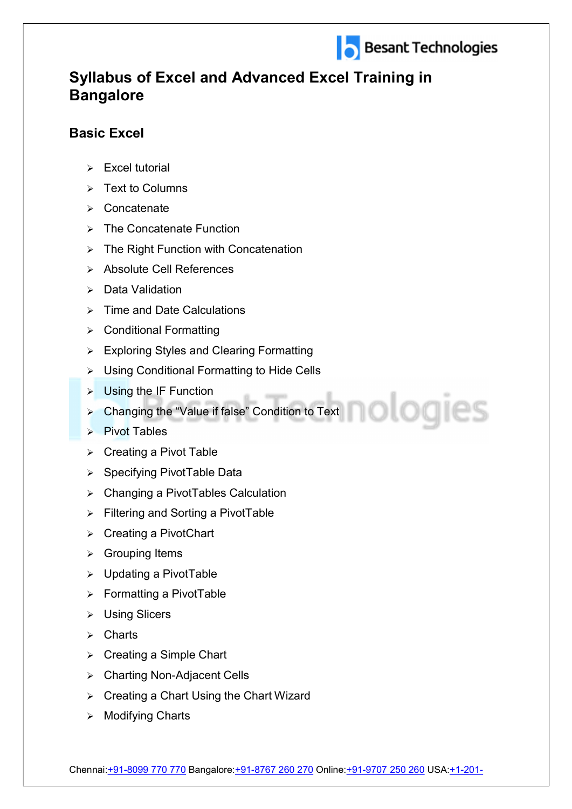

ologies

## Syllabus of Excel and Advanced Excel Training in **Bangalore**

## Basic Excel

- $\triangleright$  Excel tutorial
- $\triangleright$  Text to Columns
- Concatenate
- $\triangleright$  The Concatenate Function
- $\triangleright$  The Right Function with Concatenation
- > Absolute Cell References
- Data Validation
- $\triangleright$  Time and Date Calculations
- Conditional Formatting
- Exploring Styles and Clearing Formatting
- Using Conditional Formatting to Hide Cells
- $\triangleright$  Using the IF Function
- > Changing the "Value if false" Condition to Text
- $\triangleright$  Pivot Tables
- $\triangleright$  Creating a Pivot Table
- $\triangleright$  Specifying PivotTable Data
- Changing a PivotTables Calculation
- **▶ Filtering and Sorting a PivotTable**
- $\triangleright$  Creating a PivotChart
- Grouping Items
- Updating a PivotTable
- $\triangleright$  Formatting a PivotTable
- Using Slicers
- $\triangleright$  Charts
- $\triangleright$  Creating a Simple Chart
- Charting Non-Adjacent Cells
- $\triangleright$  Creating a Chart Using the Chart Wizard
- $\triangleright$  Modifying Charts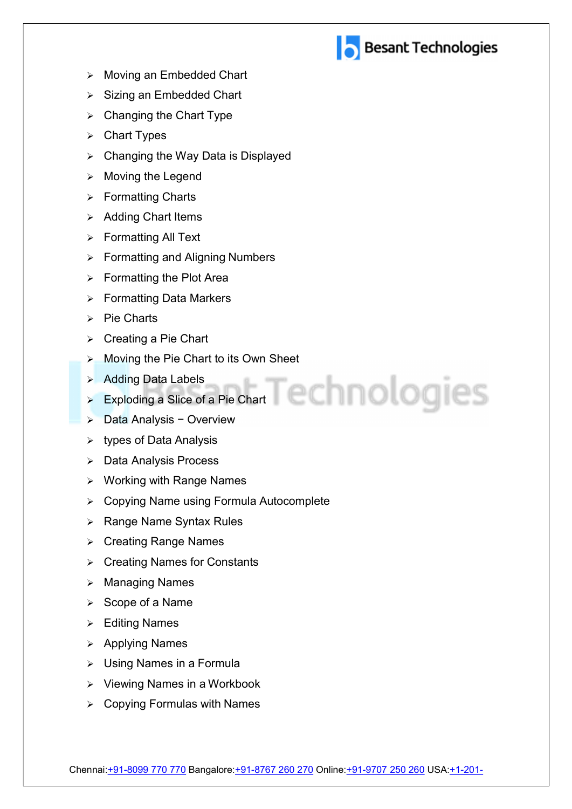

- > Moving an Embedded Chart
- $\triangleright$  Sizing an Embedded Chart
- $\triangleright$  Changing the Chart Type
- **▶ Chart Types**
- $\triangleright$  Changing the Way Data is Displayed
- $\triangleright$  Moving the Legend
- $\triangleright$  Formatting Charts
- $\triangleright$  Adding Chart Items
- Formatting All Text
- **▶ Formatting and Aligning Numbers**
- $\triangleright$  Formatting the Plot Area
- $\triangleright$  Formatting Data Markers
- $\triangleright$  Pie Charts
- $\triangleright$  Creating a Pie Chart
- **▶ Moving the Pie Chart to its Own Sheet**
- **Adding Data Labels Adding Data Labels**
- ▶ Exploding a Slice of a Pie Chart
- Data Analysis − Overview
- $\triangleright$  types of Data Analysis
- Data Analysis Process
- $\triangleright$  Working with Range Names
- Copying Name using Formula Autocomplete
- $\triangleright$  Range Name Syntax Rules
- **▶ Creating Range Names**
- **▶ Creating Names for Constants**
- $\triangleright$  Managing Names
- $\triangleright$  Scope of a Name
- Editing Names
- $\triangleright$  Applying Names
- Using Names in a Formula
- $\triangleright$  Viewing Names in a Workbook
- $\triangleright$  Copying Formulas with Names